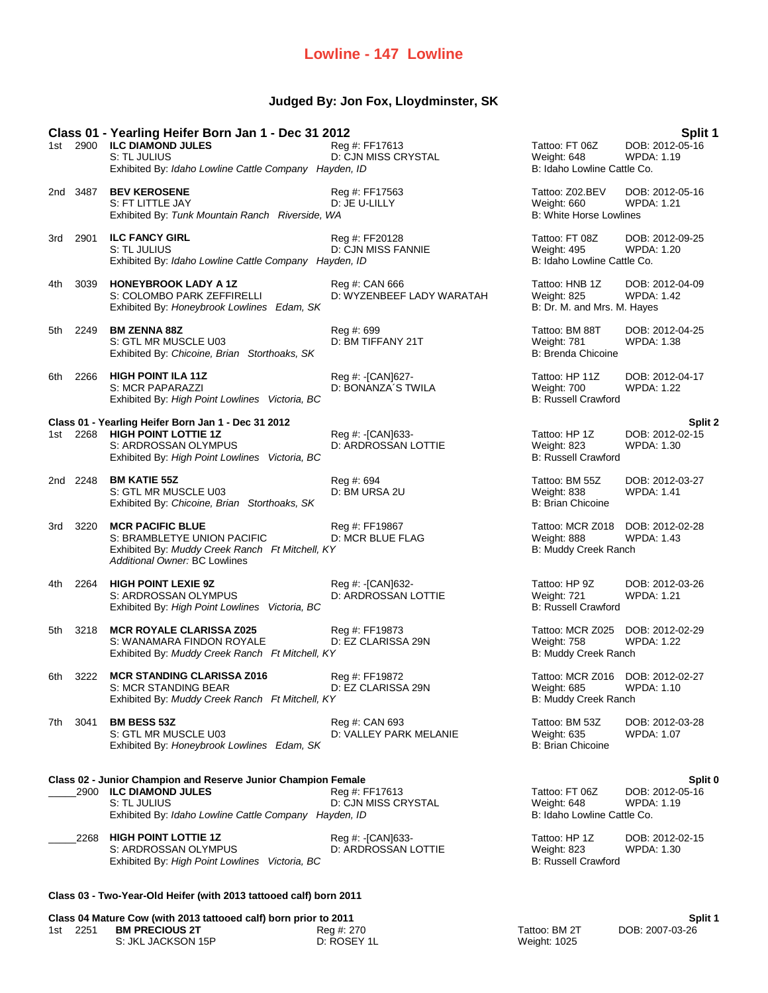## **Lowline - 147 Lowline**

## **Judged By: Jon Fox, Lloydminster, SK**

|      |          | Class 01 - Yearling Heifer Born Jan 1 - Dec 31 2012                                                                                                              |                                             |                                                                         | Split 1                                         |
|------|----------|------------------------------------------------------------------------------------------------------------------------------------------------------------------|---------------------------------------------|-------------------------------------------------------------------------|-------------------------------------------------|
|      |          | 1st 2900 ILC DIAMOND JULES<br>S: TL JULIUS<br>Exhibited By: Idaho Lowline Cattle Company Hayden, ID                                                              | Reg #: FF17613<br>D: CJN MISS CRYSTAL       | Tattoo: FT 06Z<br>Weight: 648<br>B: Idaho Lowline Cattle Co.            | DOB: 2012-05-16<br><b>WPDA: 1.19</b>            |
|      | 2nd 3487 | <b>BEV KEROSENE</b><br>S: FT LITTLE JAY<br>Exhibited By: Tunk Mountain Ranch Riverside, WA                                                                       | Reg #: FF17563<br>D: JE U-LILLY             | Tattoo: Z02.BEV<br>Weight: 660<br><b>B: White Horse Lowlines</b>        | DOB: 2012-05-16<br><b>WPDA: 1.21</b>            |
| 3rd  | 2901     | <b>ILC FANCY GIRL</b><br>S: TL JULIUS<br>Exhibited By: Idaho Lowline Cattle Company Hayden, ID                                                                   | Reg #: FF20128<br>D: CJN MISS FANNIE        | Tattoo: FT 08Z<br><b>Weight: 495</b><br>B: Idaho Lowline Cattle Co.     | DOB: 2012-09-25<br><b>WPDA: 1.20</b>            |
| 4th  | 3039     | <b>HONEYBROOK LADY A 1Z</b><br>S: COLOMBO PARK ZEFFIRELLI<br>Exhibited By: Honeybrook Lowlines Edam, SK                                                          | Reg #: CAN 666<br>D: WYZENBEEF LADY WARATAH | Tattoo: HNB 1Z<br>Weight: 825<br>B: Dr. M. and Mrs. M. Hayes            | DOB: 2012-04-09<br><b>WPDA: 1.42</b>            |
| 5th  | 2249     | <b>BM ZENNA 88Z</b><br>S: GTL MR MUSCLE U03<br>Exhibited By: Chicoine, Brian Storthoaks, SK                                                                      | Reg #: 699<br>D: BM TIFFANY 21T             | Tattoo: BM 88T<br>Weight: 781<br><b>B: Brenda Chicoine</b>              | DOB: 2012-04-25<br>WPDA: 1.38                   |
| 6th. | 2266     | <b>HIGH POINT ILA 11Z</b><br>S: MCR PAPARAZZI<br>Exhibited By: High Point Lowlines Victoria, BC                                                                  | Reg #: [CAN]627-<br>D: BONANZA'S TWILA      | Tattoo: HP 11Z<br>Weight: 700<br><b>B: Russell Crawford</b>             | DOB: 2012-04-17<br><b>WPDA: 1.22</b>            |
|      |          | Class 01 - Yearling Heifer Born Jan 1 - Dec 31 2012                                                                                                              |                                             |                                                                         | Split 2                                         |
|      |          | 1st 2268 HIGH POINT LOTTIE 1Z<br>S: ARDROSSAN OLYMPUS<br>Exhibited By: High Point Lowlines Victoria, BC                                                          | Reg #: [CAN]633-<br>D: ARDROSSAN LOTTIE     | Tattoo: HP 1Z<br>Weight: 823<br><b>B: Russell Crawford</b>              | DOB: 2012-02-15<br><b>WPDA: 1.30</b>            |
|      | 2nd 2248 | <b>BM KATIE 55Z</b><br>S: GTL MR MUSCLE U03<br>Exhibited By: Chicoine, Brian Storthoaks, SK                                                                      | Reg #: 694<br>D: BM URSA 2U                 | Tattoo: BM 55Z<br>Weight: 838<br><b>B: Brian Chicoine</b>               | DOB: 2012-03-27<br><b>WPDA: 1.41</b>            |
| 3rd  | 3220     | <b>MCR PACIFIC BLUE</b><br>S: BRAMBLETYE UNION PACIFIC<br>Exhibited By: Muddy Creek Ranch Ft Mitchell, KY<br>Additional Owner: BC Lowlines                       | Reg #: FF19867<br>D: MCR BLUE FLAG          | Tattoo: MCR Z018<br>Weight: 888<br>B: Muddy Creek Ranch                 | DOB: 2012-02-28<br><b>WPDA: 1.43</b>            |
| 4th  | 2264     | <b>HIGH POINT LEXIE 9Z</b><br>S: ARDROSSAN OLYMPUS<br>Exhibited By: High Point Lowlines Victoria, BC                                                             | Reg #: - [CAN]632-<br>D: ARDROSSAN LOTTIE   | Tattoo: HP 9Z<br>Weight: 721<br><b>B: Russell Crawford</b>              | DOB: 2012-03-26<br><b>WPDA: 1.21</b>            |
| 5th  | 3218     | <b>MCR ROYALE CLARISSA Z025</b><br>S: WANAMARA FINDON ROYALE<br>Exhibited By: Muddy Creek Ranch Ft Mitchell, KY                                                  | Reg #: FF19873<br>D: EZ CLARISSA 29N        | Tattoo: MCR Z025<br>Weight: 758<br>B: Muddy Creek Ranch                 | DOB: 2012-02-29<br><b>WPDA: 1.22</b>            |
| 6th  | 3222     | <b>MCR STANDING CLARISSA Z016</b><br>S: MCR STANDING BEAR<br>Exhibited By: Muddy Creek Ranch Ft Mitchell, KY                                                     | Reg #: FF19872<br>D: EZ CLARISSA 29N        | Tattoo: MCR Z016 DOB: 2012-02-27<br>Weight: 685<br>B: Muddy Creek Ranch | WPDA: 1.10                                      |
| 7th  | 3041     | <b>BM BESS 53Z</b><br>S: GTL MR MUSCLE U03<br>Exhibited By: Honeybrook Lowlines Edam, SK                                                                         | Reg #: CAN 693<br>D: VALLEY PARK MELANIE    | Tattoo: BM 53Z<br><b>Weight: 635</b><br><b>B: Brian Chicoine</b>        | DOB: 2012-03-28<br><b>WPDA: 1.07</b>            |
|      |          |                                                                                                                                                                  |                                             |                                                                         |                                                 |
|      |          | Class 02 - Junior Champion and Reserve Junior Champion Female<br>2900 ILC DIAMOND JULES<br>S: TL JULIUS<br>Exhibited By: Idaho Lowline Cattle Company Hayden, ID | Reg #: FF17613<br>D: CJN MISS CRYSTAL       | Tattoo: FT 06Z<br>Weight: 648<br>B: Idaho Lowline Cattle Co.            | Split 0<br>DOB: 2012-05-16<br><b>WPDA: 1.19</b> |
|      | 2268     | <b>HIGH POINT LOTTIE 1Z</b><br>S: ARDROSSAN OLYMPUS<br>Exhibited By: High Point Lowlines Victoria, BC                                                            | Reg #: - [CAN]633-<br>D: ARDROSSAN LOTTIE   | Tattoo: HP 1Z<br>Weight: 823<br><b>B: Russell Crawford</b>              | DOB: 2012-02-15<br>WPDA: 1.30                   |
|      |          |                                                                                                                                                                  |                                             |                                                                         |                                                 |

## **Class 03 - Two-Year-Old Heifer (with 2013 tattooed calf) born 2011**

| Split 1<br>Class 04 Mature Cow (with 2013 tattooed calf) born prior to 2011 |          |                       |             |               |                 |
|-----------------------------------------------------------------------------|----------|-----------------------|-------------|---------------|-----------------|
|                                                                             | 1st 2251 | <b>BM PRECIOUS 2T</b> | Reg #: 270  | Tattoo: BM 2T | DOB: 2007-03-26 |
|                                                                             |          | S: JKL JACKSON 15P    | D: ROSEY 1L | Weight: 1025  |                 |

| Tattoo: BM 2T |  |
|---------------|--|
| Weight: 1025  |  |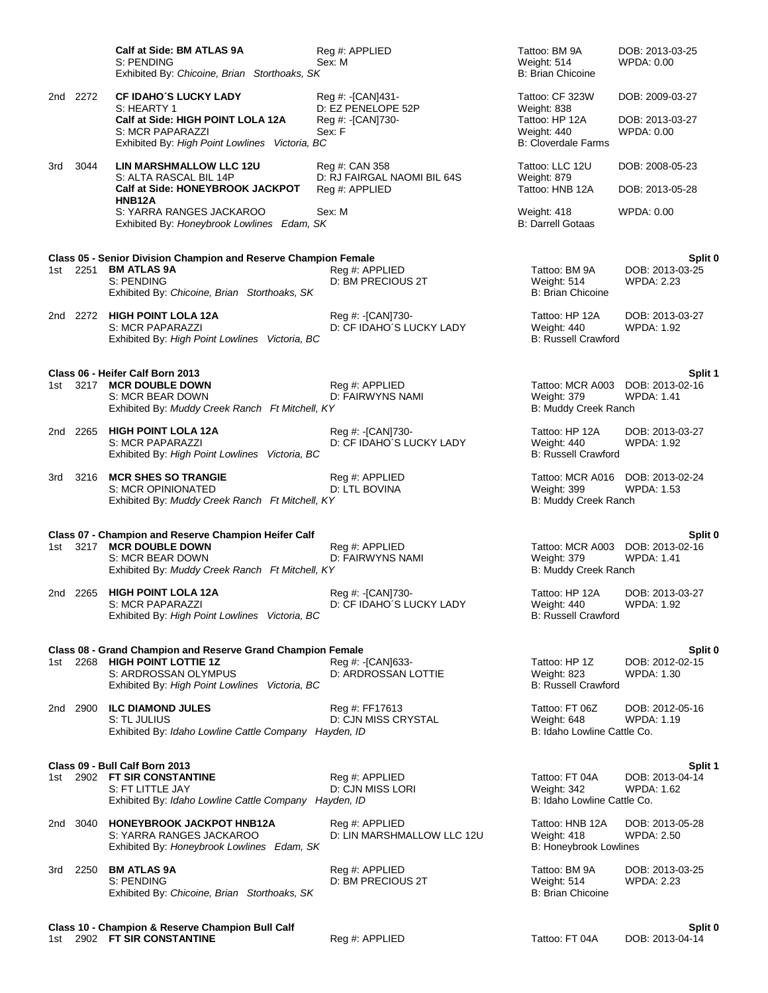|       |          | Calf at Side: BM ATLAS 9A<br>S: PENDING<br>Exhibited By: Chicoine, Brian Storthoaks, SK                                                                 | Reg #: APPLIED<br>Sex: M                          | Tattoo: BM 9A<br>Weight: 514<br>B: Brian Chicoine                          | DOB: 2013-03-25<br>WPDA: 0.00                         |  |
|-------|----------|---------------------------------------------------------------------------------------------------------------------------------------------------------|---------------------------------------------------|----------------------------------------------------------------------------|-------------------------------------------------------|--|
|       | 2nd 2272 | <b>CF IDAHO'S LUCKY LADY</b>                                                                                                                            | Reg #: -[CAN]431-                                 | Tattoo: CF 323W                                                            | DOB: 2009-03-27                                       |  |
|       |          | S: HEARTY 1<br>Calf at Side: HIGH POINT LOLA 12A<br>S: MCR PAPARAZZI<br>Exhibited By: High Point Lowlines Victoria, BC                                  | D: EZ PENELOPE 52P<br>Reg #: -[CAN]730-<br>Sex: F | Weight: 838<br>Tattoo: HP 12A<br>Weight: 440<br><b>B: Cloverdale Farms</b> | DOB: 2013-03-27<br>WPDA: 0.00                         |  |
| 3rd   | 3044     | LIN MARSHMALLOW LLC 12U                                                                                                                                 | Reg #: CAN 358                                    | Tattoo: LLC 12U                                                            | DOB: 2008-05-23                                       |  |
|       |          | S: ALTA RASCAL BIL 14P<br>Calf at Side: HONEYBROOK JACKPOT                                                                                              | D: RJ FAIRGAL NAOMI BIL 64S<br>Reg #: APPLIED     | Weight: 879<br>Tattoo: HNB 12A                                             | DOB: 2013-05-28                                       |  |
|       |          | HNB <sub>12</sub> A<br>S: YARRA RANGES JACKAROO<br>Exhibited By: Honeybrook Lowlines Edam, SK                                                           | Sex: M                                            | Weight: 418<br><b>B: Darrell Gotaas</b>                                    | WPDA: 0.00                                            |  |
|       |          | Class 05 - Senior Division Champion and Reserve Champion Female                                                                                         |                                                   |                                                                            | Split 0                                               |  |
|       | 1st 2251 | <b>BM ATLAS 9A</b><br>S: PENDING<br>Exhibited By: Chicoine, Brian Storthoaks, SK                                                                        | Reg #: APPLIED<br>D: BM PRECIOUS 2T               | Tattoo: BM 9A<br>Weight: 514<br><b>B: Brian Chicoine</b>                   | DOB: 2013-03-25<br><b>WPDA: 2.23</b>                  |  |
|       |          | 2nd 2272 HIGH POINT LOLA 12A<br>S: MCR PAPARAZZI<br>Exhibited By: High Point Lowlines Victoria, BC                                                      | Reg #: -[CAN]730-<br>D: CF IDAHO'S LUCKY LADY     | Tattoo: HP 12A<br>Weight: 440<br><b>B: Russell Crawford</b>                | DOB: 2013-03-27<br>WPDA: 1.92                         |  |
|       |          | Class 06 - Heifer Calf Born 2013                                                                                                                        |                                                   |                                                                            | Split 1                                               |  |
|       |          | 1st 3217 MCR DOUBLE DOWN<br>S: MCR BEAR DOWN<br>Exhibited By: Muddy Creek Ranch Ft Mitchell, KY                                                         | Reg #: APPLIED<br>D: FAIRWYNS NAMI                | Weight: 379<br>B: Muddy Creek Ranch                                        | Tattoo: MCR A003 DOB: 2013-02-16<br><b>WPDA: 1.41</b> |  |
|       | 2nd 2265 | <b>HIGH POINT LOLA 12A</b><br>S: MCR PAPARAZZI<br>Exhibited By: High Point Lowlines Victoria, BC                                                        | Reg #: -[CAN]730-<br>D: CF IDAHO'S LUCKY LADY     | Tattoo: HP 12A<br>Weight: 440<br><b>B: Russell Crawford</b>                | DOB: 2013-03-27<br><b>WPDA: 1.92</b>                  |  |
| 3rd   | 3216     | <b>MCR SHES SO TRANGIE</b><br>S: MCR OPINIONATED<br>Exhibited By: Muddy Creek Ranch Ft Mitchell, KY                                                     | Reg #: APPLIED<br>D: LTL BOVINA                   | Weight: 399<br>B: Muddy Creek Ranch                                        | Tattoo: MCR A016 DOB: 2013-02-24<br>WPDA: 1.53        |  |
|       |          |                                                                                                                                                         |                                                   |                                                                            |                                                       |  |
|       |          | Class 07 - Champion and Reserve Champion Heifer Calf<br>1st 3217 MCR DOUBLE DOWN<br>S: MCR BEAR DOWN<br>Exhibited By: Muddy Creek Ranch Ft Mitchell, KY | Reg #: APPLIED<br>D: FAIRWYNS NAMI                | Tattoo: MCR A003<br>Weight: 379<br>B: Muddy Creek Ranch                    | Split 0<br>DOB: 2013-02-16<br><b>WPDA: 1.41</b>       |  |
|       | 2nd 2265 | <b>HIGH POINT LOLA 12A</b><br>S: MCR PAPARAZZI<br>Exhibited By: High Point Lowlines Victoria, BC                                                        | Reg #: -[CAN]730-<br>D: CF IDAHO'S LUCKY LADY     | Tattoo: HP 12A<br>Weight: 440<br><b>B: Russell Crawford</b>                | DOB: 2013-03-27<br>WPDA: 1.92                         |  |
|       |          | Class 08 - Grand Champion and Reserve Grand Champion Female                                                                                             |                                                   |                                                                            | Split 0                                               |  |
| 1st l |          | 2268 HIGH POINT LOTTIE 1Z<br>S: ARDROSSAN OLYMPUS<br>Exhibited By: High Point Lowlines Victoria, BC                                                     | Reg #: [CAN]633-<br>D: ARDROSSAN LOTTIE           | Tattoo: HP 1Z<br>Weight: 823<br><b>B: Russell Crawford</b>                 | DOB: 2012-02-15<br><b>WPDA: 1.30</b>                  |  |
|       | 2nd 2900 | <b>ILC DIAMOND JULES</b><br>S: TL JULIUS<br>Exhibited By: Idaho Lowline Cattle Company Hayden, ID                                                       | Reg #: FF17613<br>D: CJN MISS CRYSTAL             | Tattoo: FT 06Z<br>Weight: 648<br>B: Idaho Lowline Cattle Co.               | DOB: 2012-05-16<br>WPDA: 1.19                         |  |
|       |          |                                                                                                                                                         |                                                   |                                                                            |                                                       |  |
| 1st l |          | Class 09 - Bull Calf Born 2013<br>2902 FT SIR CONSTANTINE<br>S: FT LITTLE JAY<br>Exhibited By: Idaho Lowline Cattle Company Hayden, ID                  | Reg #: APPLIED<br>D: CJN MISS LORI                | Tattoo: FT 04A<br>Weight: 342<br>B: Idaho Lowline Cattle Co.               | Split 1<br>DOB: 2013-04-14<br><b>WPDA: 1.62</b>       |  |
|       |          | 2nd 3040 HONEYBROOK JACKPOT HNB12A<br>S: YARRA RANGES JACKAROO<br>Exhibited By: Honeybrook Lowlines Edam, SK                                            | Reg #: APPLIED<br>D: LIN MARSHMALLOW LLC 12U      | Tattoo: HNB 12A<br>Weight: 418<br><b>B: Honeybrook Lowlines</b>            | DOB: 2013-05-28<br>WPDA: 2.50                         |  |
|       | 3rd 2250 | <b>BM ATLAS 9A</b><br>S: PENDING<br>Exhibited By: Chicoine, Brian Storthoaks, SK                                                                        | Reg #: APPLIED<br>D: BM PRECIOUS 2T               | Tattoo: BM 9A<br>Weight: 514<br><b>B: Brian Chicoine</b>                   | DOB: 2013-03-25<br>WPDA: 2.23                         |  |
|       |          | Class 10 - Champion & Reserve Champion Bull Calf                                                                                                        |                                                   |                                                                            | Split 0                                               |  |

1st 2902 **FT SIR CONSTANTINE** Reg #: APPLIED Tattoo: FT 04A DOB: 2013-04-14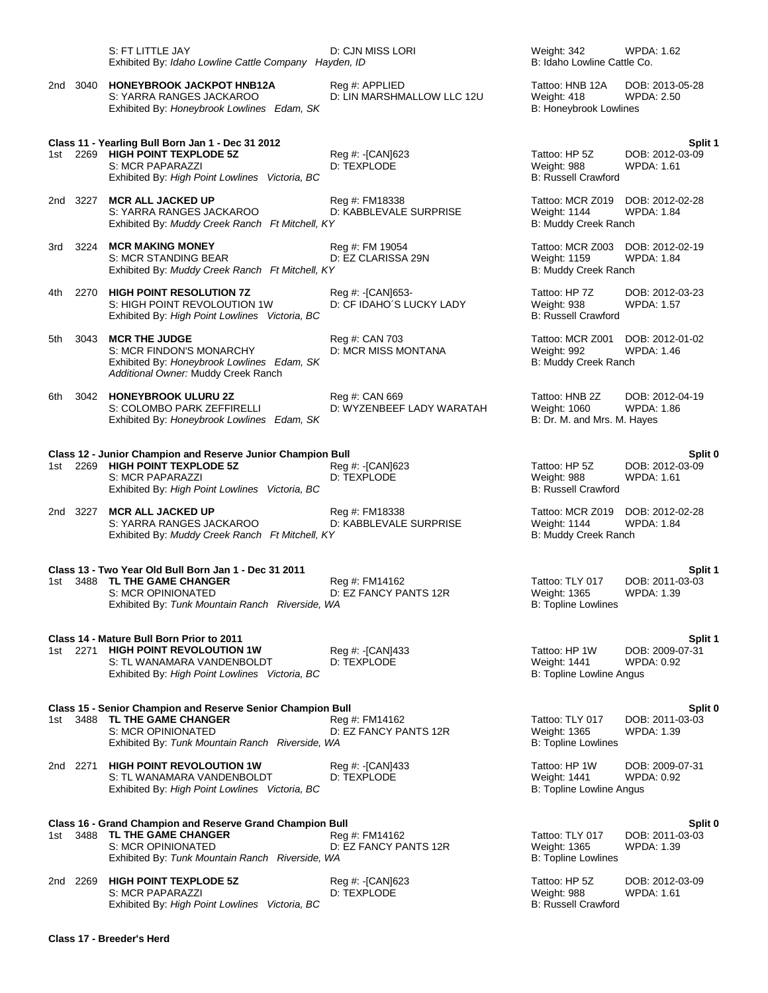|      |          | S: FT LITTLE JAY<br>Exhibited By: Idaho Lowline Cattle Company Hayden, ID                                                                                               | D: CJN MISS LORI                             | Weight: 342<br>B: Idaho Lowline Cattle Co.                       | <b>WPDA: 1.62</b>                               |  |
|------|----------|-------------------------------------------------------------------------------------------------------------------------------------------------------------------------|----------------------------------------------|------------------------------------------------------------------|-------------------------------------------------|--|
|      | 2nd 3040 | <b>HONEYBROOK JACKPOT HNB12A</b><br>S: YARRA RANGES JACKAROO<br>Exhibited By: Honeybrook Lowlines Edam, SK                                                              | Reg #: APPLIED<br>D: LIN MARSHMALLOW LLC 12U | Tattoo: HNB 12A<br>Weight: 418<br>B: Honeybrook Lowlines         | DOB: 2013-05-28<br><b>WPDA: 2.50</b>            |  |
|      |          | Class 11 - Yearling Bull Born Jan 1 - Dec 31 2012                                                                                                                       |                                              |                                                                  | Split 1                                         |  |
| 1st  |          | 2269 HIGH POINT TEXPLODE 5Z<br>S: MCR PAPARAZZI<br>Exhibited By: High Point Lowlines Victoria, BC                                                                       | Reg #: [CAN]623<br>D: TEXPLODE               | Tattoo: HP 5Z<br>Weight: 988<br><b>B: Russell Crawford</b>       | DOB: 2012-03-09<br><b>WPDA: 1.61</b>            |  |
|      | 2nd 3227 | <b>MCR ALL JACKED UP</b><br>S: YARRA RANGES JACKAROO<br>Exhibited By: Muddy Creek Ranch Ft Mitchell, KY                                                                 | Reg #: FM18338<br>D: KABBLEVALE SURPRISE     | Tattoo: MCR Z019<br>Weight: 1144<br>B: Muddy Creek Ranch         | DOB: 2012-02-28<br>WPDA: 1.84                   |  |
| 3rd  |          | 3224 MCR MAKING MONEY<br>S: MCR STANDING BEAR<br>Exhibited By: Muddy Creek Ranch Ft Mitchell, KY                                                                        | Reg #: FM 19054<br>D: EZ CLARISSA 29N        | Tattoo: MCR Z003<br>Weight: 1159<br>B: Muddy Creek Ranch         | DOB: 2012-02-19<br><b>WPDA: 1.84</b>            |  |
| 4th  | 2270     | <b>HIGH POINT RESOLUTION 7Z</b><br>S: HIGH POINT REVOLOUTION 1W<br>Exhibited By: High Point Lowlines Victoria, BC                                                       | Reg #: [CAN]653-<br>D: CF IDAHO'S LUCKY LADY | Tattoo: HP 7Z<br>Weight: 938<br><b>B: Russell Crawford</b>       | DOB: 2012-03-23<br><b>WPDA: 1.57</b>            |  |
| 5th  | 3043     | <b>MCR THE JUDGE</b><br>S: MCR FINDON'S MONARCHY<br>Exhibited By: Honeybrook Lowlines Edam, SK<br>Additional Owner: Muddy Creek Ranch                                   | Reg #: CAN 703<br>D: MCR MISS MONTANA        | Tattoo: MCR Z001<br>Weight: 992<br>B: Muddy Creek Ranch          | DOB: 2012-01-02<br>WPDA: 1.46                   |  |
| 6th  |          | 3042 HONEYBROOK ULURU 2Z<br>S: COLOMBO PARK ZEFFIRELLI<br>Exhibited By: Honeybrook Lowlines Edam, SK                                                                    | Reg #: CAN 669<br>D: WYZENBEEF LADY WARATAH  | Tattoo: HNB 2Z<br>Weight: 1060<br>B: Dr. M. and Mrs. M. Hayes    | DOB: 2012-04-19<br><b>WPDA: 1.86</b>            |  |
|      |          |                                                                                                                                                                         |                                              |                                                                  |                                                 |  |
| 1st  |          | Class 12 - Junior Champion and Reserve Junior Champion Bull<br>2269 HIGH POINT TEXPLODE 5Z<br>S: MCR PAPARAZZI<br>Exhibited By: High Point Lowlines Victoria, BC        | Reg #: [CAN]623<br>D: TEXPLODE               | Tattoo: HP 5Z<br>Weight: 988<br><b>B: Russell Crawford</b>       | Split 0<br>DOB: 2012-03-09<br>WPDA: 1.61        |  |
|      | 2nd 3227 | <b>MCR ALL JACKED UP</b><br>S: YARRA RANGES JACKAROO<br>Exhibited By: Muddy Creek Ranch Ft Mitchell, KY                                                                 | Reg #: FM18338<br>D: KABBLEVALE SURPRISE     | Tattoo: MCR Z019<br>Weight: 1144<br>B: Muddy Creek Ranch         | DOB: 2012-02-28<br><b>WPDA: 1.84</b>            |  |
|      |          |                                                                                                                                                                         |                                              |                                                                  |                                                 |  |
| 1st  |          | Class 13 - Two Year Old Bull Born Jan 1 - Dec 31 2011<br>3488 TL THE GAME CHANGER<br>S: MCR OPINIONATED<br>Exhibited By: Tunk Mountain Ranch Riverside, WA              | Reg #: FM14162<br>D: EZ FANCY PANTS 12R      | Tattoo: TLY 017<br>Weight: 1365<br><b>B: Topline Lowlines</b>    | Split 1<br>DOB: 2011-03-03<br>WPDA: 1.39        |  |
|      |          |                                                                                                                                                                         |                                              |                                                                  |                                                 |  |
|      | 1st 2271 | Class 14 - Mature Bull Born Prior to 2011<br><b>HIGH POINT REVOLOUTION 1W</b><br>S: TL WANAMARA VANDENBOLDT<br>Exhibited By: High Point Lowlines Victoria, BC           | Reg #: [CAN]433<br>D: TEXPLODE               | Tattoo: HP 1W<br>Weight: 1441<br><b>B: Topline Lowline Angus</b> | Split 1<br>DOB: 2009-07-31<br><b>WPDA: 0.92</b> |  |
|      |          |                                                                                                                                                                         |                                              |                                                                  |                                                 |  |
| 1st. |          | <b>Class 15 - Senior Champion and Reserve Senior Champion Bull</b><br>3488 TL THE GAME CHANGER<br>S: MCR OPINIONATED<br>Exhibited By: Tunk Mountain Ranch Riverside, WA | Reg #: FM14162<br>D: EZ FANCY PANTS 12R      | Tattoo: TLY 017<br>Weight: 1365<br><b>B: Topline Lowlines</b>    | Split 0<br>DOB: 2011-03-03<br><b>WPDA: 1.39</b> |  |
|      |          | 2nd 2271 HIGH POINT REVOLOUTION 1W<br>S: TL WANAMARA VANDENBOLDT<br>Exhibited By: High Point Lowlines Victoria, BC                                                      | Reg #: [CAN]433<br>D: TEXPLODE               | Tattoo: HP 1W<br>Weight: 1441<br>B: Topline Lowline Angus        | DOB: 2009-07-31<br>WPDA: 0.92                   |  |
|      |          |                                                                                                                                                                         |                                              |                                                                  |                                                 |  |
| 1st  |          | Class 16 - Grand Champion and Reserve Grand Champion Bull<br>3488 TL THE GAME CHANGER<br>S: MCR OPINIONATED<br>Exhibited By: Tunk Mountain Ranch Riverside, WA          | Reg #: FM14162<br>D: EZ FANCY PANTS 12R      | Tattoo: TLY 017<br>Weight: 1365<br><b>B: Topline Lowlines</b>    | Split 0<br>DOB: 2011-03-03<br><b>WPDA: 1.39</b> |  |
|      | 2nd 2269 | <b>HIGH POINT TEXPLODE 5Z</b><br>S: MCR PAPARAZZI<br>Exhibited By: High Point Lowlines Victoria, BC                                                                     | Reg #: [CAN]623<br>D: TEXPLODE               | Tattoo: HP 5Z<br>Weight: 988<br><b>B: Russell Crawford</b>       | DOB: 2012-03-09<br>WPDA: 1.61                   |  |